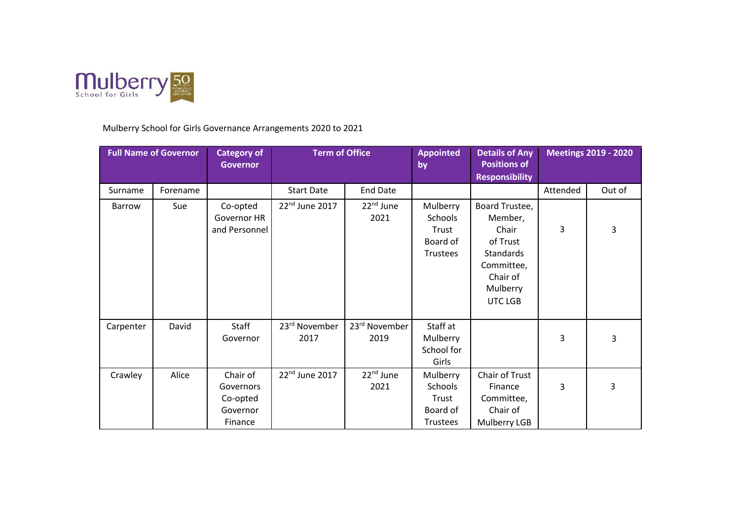

Mulberry School for Girls Governance Arrangements 2020 to 2021

| <b>Full Name of Governor</b> |          | <b>Category of</b><br><b>Governor</b>                    | <b>Term of Office</b>      |                               | <b>Appointed</b><br>by                                      | <b>Details of Any</b><br><b>Positions of</b><br><b>Responsibility</b>                                               | <b>Meetings 2019 - 2020</b> |        |
|------------------------------|----------|----------------------------------------------------------|----------------------------|-------------------------------|-------------------------------------------------------------|---------------------------------------------------------------------------------------------------------------------|-----------------------------|--------|
| Surname                      | Forename |                                                          | <b>Start Date</b>          | <b>End Date</b>               |                                                             |                                                                                                                     | Attended                    | Out of |
| Barrow                       | Sue      | Co-opted<br>Governor HR<br>and Personnel                 | 22 <sup>nd</sup> June 2017 | $22nd$ June<br>2021           | Mulberry<br>Schools<br>Trust<br>Board of<br>Trustees        | Board Trustee,<br>Member,<br>Chair<br>of Trust<br><b>Standards</b><br>Committee,<br>Chair of<br>Mulberry<br>UTC LGB | 3                           | 3      |
| Carpenter                    | David    | Staff<br>Governor                                        | 23rd November<br>2017      | 23rd November<br>2019         | Staff at<br>Mulberry<br>School for<br>Girls                 |                                                                                                                     | 3                           | 3      |
| Crawley                      | Alice    | Chair of<br>Governors<br>Co-opted<br>Governor<br>Finance | 22nd June 2017             | 22 <sup>nd</sup> June<br>2021 | Mulberry<br>Schools<br>Trust<br>Board of<br><b>Trustees</b> | Chair of Trust<br>Finance<br>Committee,<br>Chair of<br>Mulberry LGB                                                 | 3                           | 3      |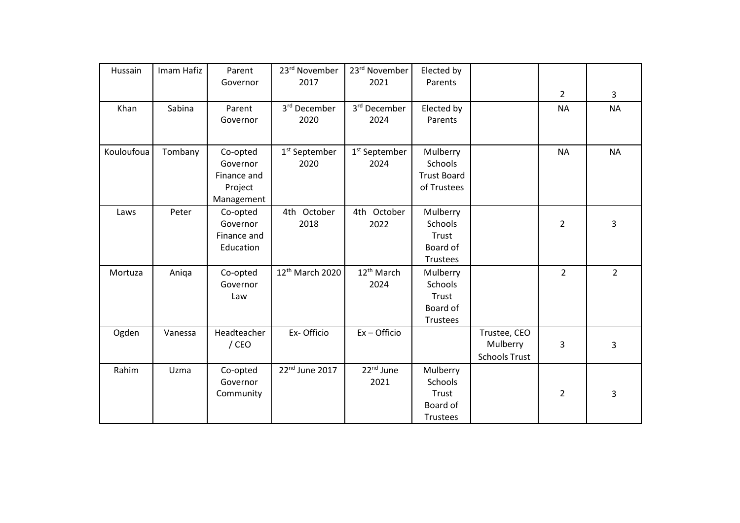| Hussain    | Imam Hafiz | Parent      | 23rd November               | 23rd November             | Elected by         |                      |                |                |
|------------|------------|-------------|-----------------------------|---------------------------|--------------------|----------------------|----------------|----------------|
|            |            | Governor    | 2017                        | 2021                      | Parents            |                      |                |                |
|            |            |             |                             |                           |                    |                      | $\overline{2}$ | 3              |
| Khan       | Sabina     | Parent      | 3rd December                | 3rd December              | Elected by         |                      | <b>NA</b>      | <b>NA</b>      |
|            |            | Governor    | 2020                        | 2024                      | Parents            |                      |                |                |
|            |            |             |                             |                           |                    |                      |                |                |
| Kouloufoua | Tombany    | Co-opted    | 1 <sup>st</sup> September   | 1 <sup>st</sup> September | Mulberry           |                      | <b>NA</b>      | <b>NA</b>      |
|            |            | Governor    | 2020                        | 2024                      | Schools            |                      |                |                |
|            |            | Finance and |                             |                           | <b>Trust Board</b> |                      |                |                |
|            |            | Project     |                             |                           | of Trustees        |                      |                |                |
|            |            | Management  |                             |                           |                    |                      |                |                |
| Laws       | Peter      | Co-opted    | 4th October                 | 4th October               | Mulberry           |                      |                |                |
|            |            | Governor    | 2018                        | 2022                      | Schools            |                      | $\overline{2}$ | 3              |
|            |            | Finance and |                             |                           | Trust              |                      |                |                |
|            |            | Education   |                             |                           | Board of           |                      |                |                |
|            |            |             |                             |                           | Trustees           |                      |                |                |
| Mortuza    | Aniqa      | Co-opted    | 12 <sup>th</sup> March 2020 | 12 <sup>th</sup> March    | Mulberry           |                      | $\overline{2}$ | $\overline{2}$ |
|            |            | Governor    |                             | 2024                      | Schools            |                      |                |                |
|            |            | Law         |                             |                           | Trust              |                      |                |                |
|            |            |             |                             |                           | Board of           |                      |                |                |
|            |            |             |                             |                           | Trustees           |                      |                |                |
| Ogden      | Vanessa    | Headteacher | Ex-Officio                  | $Ex -$ Officio            |                    | Trustee, CEO         |                |                |
|            |            | $/$ CEO     |                             |                           |                    | Mulberry             | 3              | 3              |
|            |            |             |                             |                           |                    | <b>Schools Trust</b> |                |                |
| Rahim      | Uzma       | Co-opted    | 22nd June 2017              | 22 <sup>nd</sup> June     | Mulberry           |                      |                |                |
|            |            | Governor    |                             | 2021                      | <b>Schools</b>     |                      |                |                |
|            |            | Community   |                             |                           | Trust              |                      | 2              | 3              |
|            |            |             |                             |                           | Board of           |                      |                |                |
|            |            |             |                             |                           | Trustees           |                      |                |                |